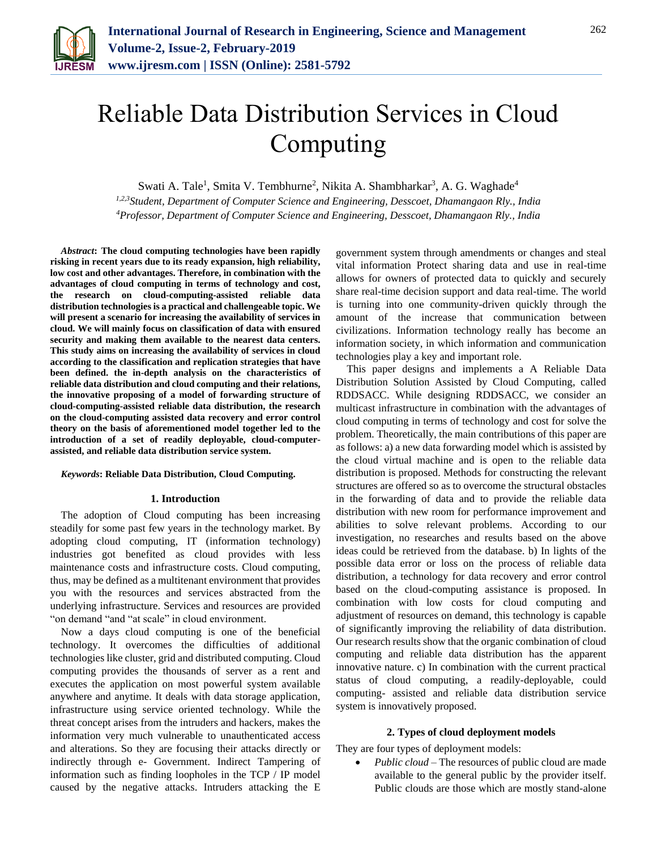

# Reliable Data Distribution Services in Cloud Computing

Swati A. Tale<sup>1</sup>, Smita V. Tembhurne<sup>2</sup>, Nikita A. Shambharkar<sup>3</sup>, A. G. Waghade<sup>4</sup>

*1,2,3Student, Department of Computer Science and Engineering, Desscoet, Dhamangaon Rly., India 4Professor, Department of Computer Science and Engineering, Desscoet, Dhamangaon Rly., India*

*Abstract***: The cloud computing technologies have been rapidly risking in recent years due to its ready expansion, high reliability, low cost and other advantages. Therefore, in combination with the advantages of cloud computing in terms of technology and cost, the research on cloud-computing-assisted reliable data distribution technologies is a practical and challengeable topic. We will present a scenario for increasing the availability of services in cloud. We will mainly focus on classification of data with ensured security and making them available to the nearest data centers. This study aims on increasing the availability of services in cloud according to the classification and replication strategies that have been defined. the in-depth analysis on the characteristics of reliable data distribution and cloud computing and their relations, the innovative proposing of a model of forwarding structure of cloud-computing-assisted reliable data distribution, the research on the cloud-computing assisted data recovery and error control theory on the basis of aforementioned model together led to the introduction of a set of readily deployable, cloud-computerassisted, and reliable data distribution service system.**

### *Keywords***: Reliable Data Distribution, Cloud Computing.**

#### **1. Introduction**

The adoption of Cloud computing has been increasing steadily for some past few years in the technology market. By adopting cloud computing, IT (information technology) industries got benefited as cloud provides with less maintenance costs and infrastructure costs. Cloud computing, thus, may be defined as a multitenant environment that provides you with the resources and services abstracted from the underlying infrastructure. Services and resources are provided "on demand "and "at scale" in cloud environment.

Now a days cloud computing is one of the beneficial technology. It overcomes the difficulties of additional technologies like cluster, grid and distributed computing. Cloud computing provides the thousands of server as a rent and executes the application on most powerful system available anywhere and anytime. It deals with data storage application, infrastructure using service oriented technology. While the threat concept arises from the intruders and hackers, makes the information very much vulnerable to unauthenticated access and alterations. So they are focusing their attacks directly or indirectly through e- Government. Indirect Tampering of information such as finding loopholes in the TCP / IP model caused by the negative attacks. Intruders attacking the E government system through amendments or changes and steal vital information Protect sharing data and use in real-time allows for owners of protected data to quickly and securely share real-time decision support and data real-time. The world is turning into one community-driven quickly through the amount of the increase that communication between civilizations. Information technology really has become an information society, in which information and communication technologies play a key and important role.

This paper designs and implements a A Reliable Data Distribution Solution Assisted by Cloud Computing, called RDDSACC. While designing RDDSACC, we consider an multicast infrastructure in combination with the advantages of cloud computing in terms of technology and cost for solve the problem. Theoretically, the main contributions of this paper are as follows: a) a new data forwarding model which is assisted by the cloud virtual machine and is open to the reliable data distribution is proposed. Methods for constructing the relevant structures are offered so as to overcome the structural obstacles in the forwarding of data and to provide the reliable data distribution with new room for performance improvement and abilities to solve relevant problems. According to our investigation, no researches and results based on the above ideas could be retrieved from the database. b) In lights of the possible data error or loss on the process of reliable data distribution, a technology for data recovery and error control based on the cloud-computing assistance is proposed. In combination with low costs for cloud computing and adjustment of resources on demand, this technology is capable of significantly improving the reliability of data distribution. Our research results show that the organic combination of cloud computing and reliable data distribution has the apparent innovative nature. c) In combination with the current practical status of cloud computing, a readily-deployable, could computing- assisted and reliable data distribution service system is innovatively proposed.

#### **2. Types of cloud deployment models**

They are four types of deployment models:

• *Public cloud* – The resources of public cloud are made available to the general public by the provider itself. Public clouds are those which are mostly stand-alone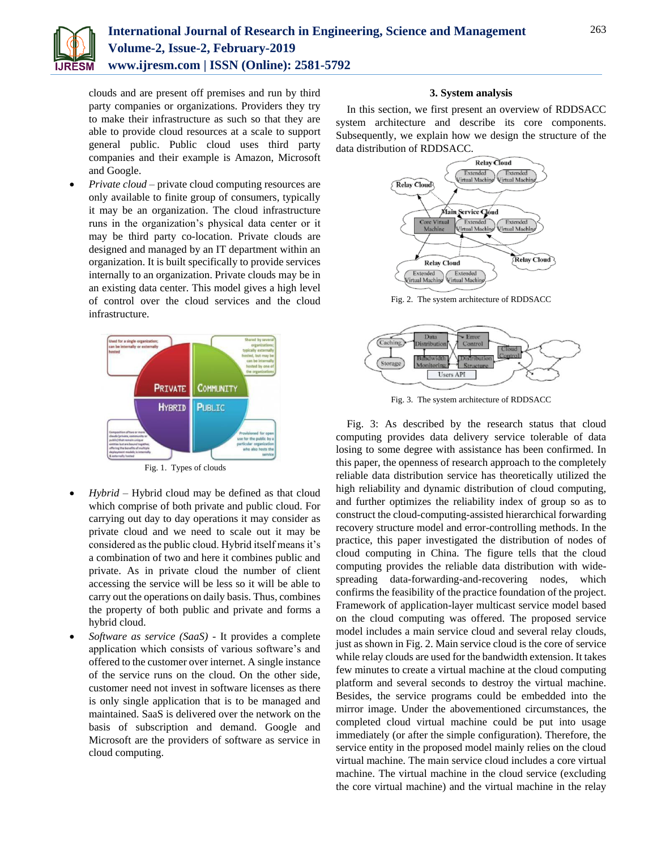

clouds and are present off premises and run by third party companies or organizations. Providers they try to make their infrastructure as such so that they are able to provide cloud resources at a scale to support general public. Public cloud uses third party companies and their example is Amazon, Microsoft and Google.

 *Private cloud* – private cloud computing resources are only available to finite group of consumers, typically it may be an organization. The cloud infrastructure runs in the organization's physical data center or it may be third party co-location. Private clouds are designed and managed by an IT department within an organization. It is built specifically to provide services internally to an organization. Private clouds may be in an existing data center. This model gives a high level of control over the cloud services and the cloud infrastructure.



- *Hybrid –* Hybrid cloud may be defined as that cloud which comprise of both private and public cloud. For carrying out day to day operations it may consider as private cloud and we need to scale out it may be considered as the public cloud. Hybrid itself means it's a combination of two and here it combines public and private. As in private cloud the number of client accessing the service will be less so it will be able to carry out the operations on daily basis. Thus, combines the property of both public and private and forms a
- hybrid cloud. *Software as service (SaaS) -* It provides a complete application which consists of various software's and offered to the customer over internet. A single instance of the service runs on the cloud. On the other side, customer need not invest in software licenses as there is only single application that is to be managed and maintained. SaaS is delivered over the network on the basis of subscription and demand. Google and Microsoft are the providers of software as service in cloud computing.

## **3. System analysis**

In this section, we first present an overview of RDDSACC system architecture and describe its core components. Subsequently, we explain how we design the structure of the data distribution of RDDSACC.



Fig. 2. The system architecture of RDDSACC



Fig. 3. The system architecture of RDDSACC

Fig. 3: As described by the research status that cloud computing provides data delivery service tolerable of data losing to some degree with assistance has been confirmed. In this paper, the openness of research approach to the completely reliable data distribution service has theoretically utilized the high reliability and dynamic distribution of cloud computing, and further optimizes the reliability index of group so as to construct the cloud-computing-assisted hierarchical forwarding recovery structure model and error-controlling methods. In the practice, this paper investigated the distribution of nodes of cloud computing in China. The figure tells that the cloud computing provides the reliable data distribution with widespreading data-forwarding-and-recovering nodes, which confirms the feasibility of the practice foundation of the project. Framework of application-layer multicast service model based on the cloud computing was offered. The proposed service model includes a main service cloud and several relay clouds, just as shown in Fig. 2. Main service cloud is the core of service while relay clouds are used for the bandwidth extension. It takes few minutes to create a virtual machine at the cloud computing platform and several seconds to destroy the virtual machine. Besides, the service programs could be embedded into the mirror image. Under the abovementioned circumstances, the completed cloud virtual machine could be put into usage immediately (or after the simple configuration). Therefore, the service entity in the proposed model mainly relies on the cloud virtual machine. The main service cloud includes a core virtual machine. The virtual machine in the cloud service (excluding the core virtual machine) and the virtual machine in the relay